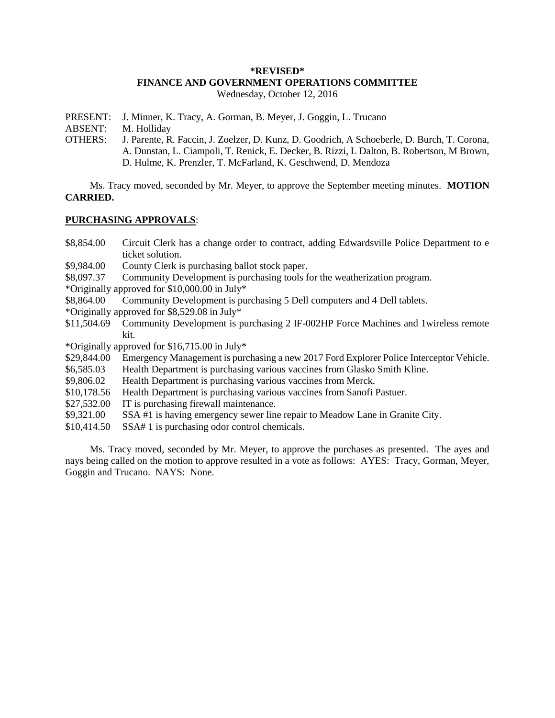### **\*REVISED\* FINANCE AND GOVERNMENT OPERATIONS COMMITTEE** Wednesday, October 12, 2016

PRESENT: J. Minner, K. Tracy, A. Gorman, B. Meyer, J. Goggin, L. Trucano

ABSENT: M. Holliday

OTHERS: J. Parente, R. Faccin, J. Zoelzer, D. Kunz, D. Goodrich, A Schoeberle, D. Burch, T. Corona, A. Dunstan, L. Ciampoli, T. Renick, E. Decker, B. Rizzi, L Dalton, B. Robertson, M Brown, D. Hulme, K. Prenzler, T. McFarland, K. Geschwend, D. Mendoza

Ms. Tracy moved, seconded by Mr. Meyer, to approve the September meeting minutes. **MOTION CARRIED.**

### **PURCHASING APPROVALS**:

- \$8,854.00 Circuit Clerk has a change order to contract, adding Edwardsville Police Department to e ticket solution.
- \$9,984.00 County Clerk is purchasing ballot stock paper.
- \$8,097.37 Community Development is purchasing tools for the weatherization program.

\*Originally approved for \$10,000.00 in July\*

- \$8,864.00 Community Development is purchasing 5 Dell computers and 4 Dell tablets.
- \*Originally approved for \$8,529.08 in July\*
- \$11,504.69 Community Development is purchasing 2 IF-002HP Force Machines and 1wireless remote kit.

\*Originally approved for \$16,715.00 in July\*

- \$29,844.00 Emergency Management is purchasing a new 2017 Ford Explorer Police Interceptor Vehicle.
- \$6,585.03 Health Department is purchasing various vaccines from Glasko Smith Kline.
- \$9,806.02 Health Department is purchasing various vaccines from Merck.
- \$10,178.56 Health Department is purchasing various vaccines from Sanofi Pastuer.
- \$27,532.00 IT is purchasing firewall maintenance.
- \$9,321.00 SSA #1 is having emergency sewer line repair to Meadow Lane in Granite City.
- \$10,414.50 SSA# 1 is purchasing odor control chemicals.

Ms. Tracy moved, seconded by Mr. Meyer, to approve the purchases as presented. The ayes and nays being called on the motion to approve resulted in a vote as follows: AYES: Tracy, Gorman, Meyer, Goggin and Trucano. NAYS: None.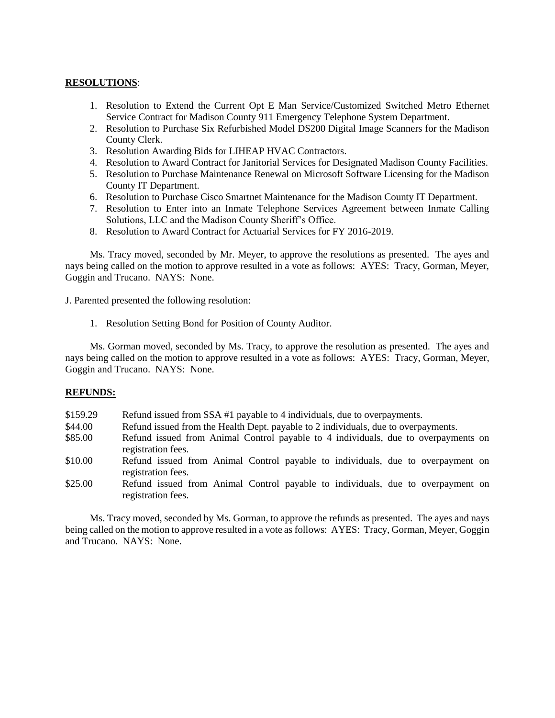# **RESOLUTIONS**:

- 1. Resolution to Extend the Current Opt E Man Service/Customized Switched Metro Ethernet Service Contract for Madison County 911 Emergency Telephone System Department.
- 2. Resolution to Purchase Six Refurbished Model DS200 Digital Image Scanners for the Madison County Clerk.
- 3. Resolution Awarding Bids for LIHEAP HVAC Contractors.
- 4. Resolution to Award Contract for Janitorial Services for Designated Madison County Facilities.
- 5. Resolution to Purchase Maintenance Renewal on Microsoft Software Licensing for the Madison County IT Department.
- 6. Resolution to Purchase Cisco Smartnet Maintenance for the Madison County IT Department.
- 7. Resolution to Enter into an Inmate Telephone Services Agreement between Inmate Calling Solutions, LLC and the Madison County Sheriff's Office.
- 8. Resolution to Award Contract for Actuarial Services for FY 2016-2019.

Ms. Tracy moved, seconded by Mr. Meyer, to approve the resolutions as presented. The ayes and nays being called on the motion to approve resulted in a vote as follows: AYES: Tracy, Gorman, Meyer, Goggin and Trucano. NAYS: None.

J. Parented presented the following resolution:

1. Resolution Setting Bond for Position of County Auditor.

Ms. Gorman moved, seconded by Ms. Tracy, to approve the resolution as presented. The ayes and nays being called on the motion to approve resulted in a vote as follows: AYES: Tracy, Gorman, Meyer, Goggin and Trucano. NAYS: None.

#### **REFUNDS:**

| \$159.29 |  | Refund issued from SSA #1 payable to 4 individuals, due to overpayments. |
|----------|--|--------------------------------------------------------------------------|
|----------|--|--------------------------------------------------------------------------|

- \$44.00 Refund issued from the Health Dept. payable to 2 individuals, due to overpayments.
- \$85.00 Refund issued from Animal Control payable to 4 individuals, due to overpayments on registration fees.
- \$10.00 Refund issued from Animal Control payable to individuals, due to overpayment on registration fees.
- \$25.00 Refund issued from Animal Control payable to individuals, due to overpayment on registration fees.

Ms. Tracy moved, seconded by Ms. Gorman, to approve the refunds as presented. The ayes and nays being called on the motion to approve resulted in a vote as follows: AYES: Tracy, Gorman, Meyer, Goggin and Trucano. NAYS: None.